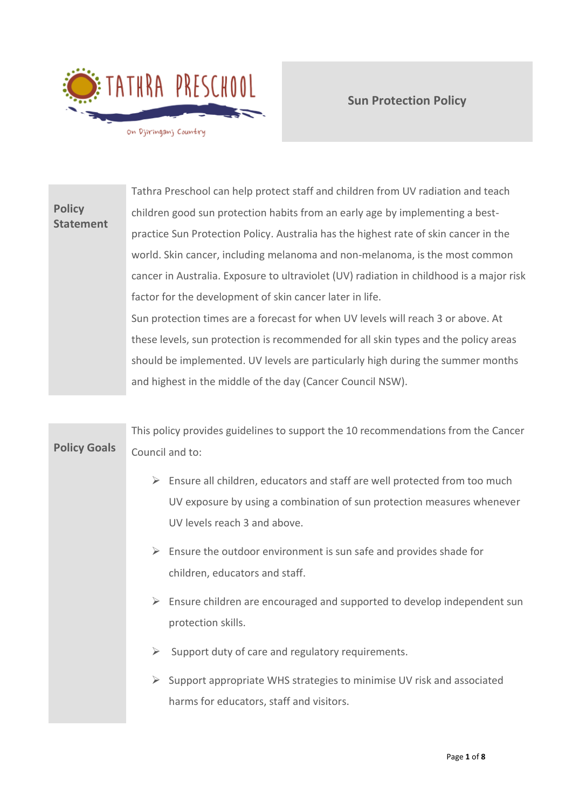

# **Policy Statement** Tathra Preschool can help protect staff and children from UV radiation and teach children good sun protection habits from an early age by implementing a bestpractice Sun Protection Policy. Australia has the highest rate of skin cancer in the world. Skin cancer, including melanoma and non-melanoma, is the most common cancer in Australia. Exposure to ultraviolet (UV) radiation in childhood is a major risk factor for the development of skin cancer later in life. Sun protection times are a forecast for when UV levels will reach 3 or above. At these levels, sun protection is recommended for all skin types and the policy areas should be implemented. UV levels are particularly high during the summer months and highest in the middle of the day (Cancer Council NSW).

# **Policy Goals** This policy provides guidelines to support the 10 recommendations from the Cancer Council and to: ➢ Ensure all children, educators and staff are well protected from too much UV exposure by using a combination of sun protection measures whenever UV levels reach 3 and above.  $\triangleright$  Ensure the outdoor environment is sun safe and provides shade for children, educators and staff.  $\triangleright$  Ensure children are encouraged and supported to develop independent sun protection skills.  $\triangleright$  Support duty of care and regulatory requirements. ➢ Support appropriate WHS strategies to minimise UV risk and associated harms for educators, staff and visitors.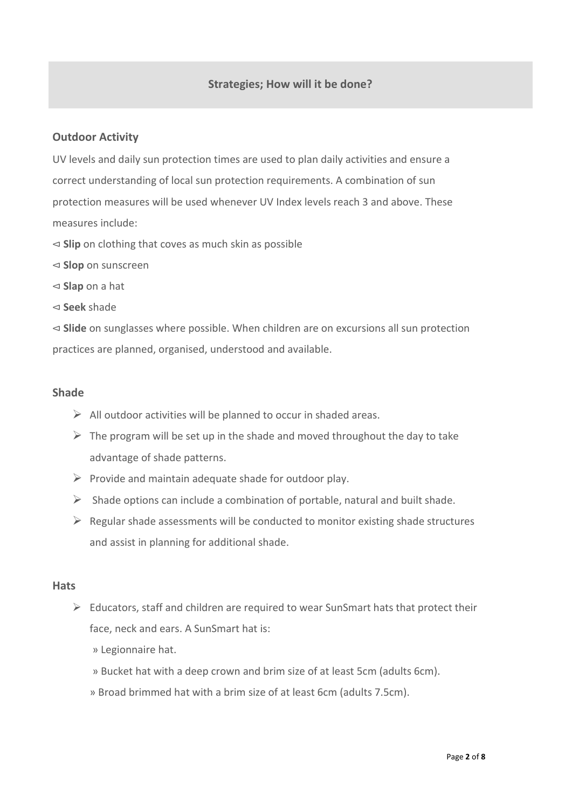# **Outdoor Activity**

UV levels and daily sun protection times are used to plan daily activities and ensure a correct understanding of local sun protection requirements. A combination of sun protection measures will be used whenever UV Index levels reach 3 and above. These measures include:

- ⊲ **Slip** on clothing that coves as much skin as possible
- ⊲ **Slop** on sunscreen
- ⊲ **Slap** on a hat
- ⊲ **Seek** shade

⊲ **Slide** on sunglasses where possible. When children are on excursions all sun protection practices are planned, organised, understood and available.

#### **Shade**

- $\triangleright$  All outdoor activities will be planned to occur in shaded areas.
- $\triangleright$  The program will be set up in the shade and moved throughout the day to take advantage of shade patterns.
- $\triangleright$  Provide and maintain adequate shade for outdoor play.
- $\triangleright$  Shade options can include a combination of portable, natural and built shade.
- $\triangleright$  Regular shade assessments will be conducted to monitor existing shade structures and assist in planning for additional shade.

#### **Hats**

- $\triangleright$  Educators, staff and children are required to wear SunSmart hats that protect their face, neck and ears. A SunSmart hat is:
	- » Legionnaire hat.
	- » Bucket hat with a deep crown and brim size of at least 5cm (adults 6cm).
	- » Broad brimmed hat with a brim size of at least 6cm (adults 7.5cm).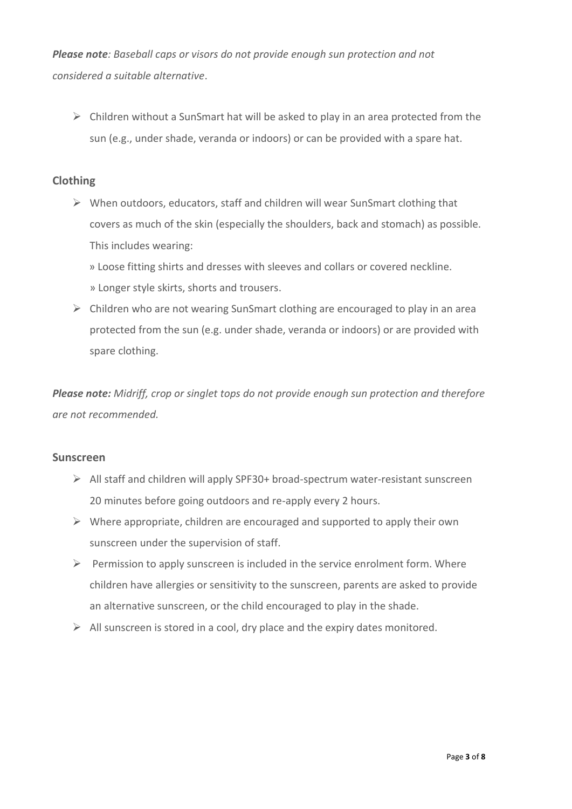*Please note: Baseball caps or visors do not provide enough sun protection and not considered a suitable alternative*.

 $\triangleright$  Children without a SunSmart hat will be asked to play in an area protected from the sun (e.g., under shade, veranda or indoors) or can be provided with a spare hat.

# **Clothing**

- ➢ When outdoors, educators, staff and children will wear SunSmart clothing that covers as much of the skin (especially the shoulders, back and stomach) as possible. This includes wearing:
	- » Loose fitting shirts and dresses with sleeves and collars or covered neckline. » Longer style skirts, shorts and trousers.
- $\triangleright$  Children who are not wearing SunSmart clothing are encouraged to play in an area protected from the sun (e.g. under shade, veranda or indoors) or are provided with spare clothing.

*Please note: Midriff, crop or singlet tops do not provide enough sun protection and therefore are not recommended.* 

# **Sunscreen**

- ➢ All staff and children will apply SPF30+ broad-spectrum water-resistant sunscreen 20 minutes before going outdoors and re-apply every 2 hours.
- $\triangleright$  Where appropriate, children are encouraged and supported to apply their own sunscreen under the supervision of staff.
- $\triangleright$  Permission to apply sunscreen is included in the service enrolment form. Where children have allergies or sensitivity to the sunscreen, parents are asked to provide an alternative sunscreen, or the child encouraged to play in the shade.
- $\triangleright$  All sunscreen is stored in a cool, dry place and the expiry dates monitored.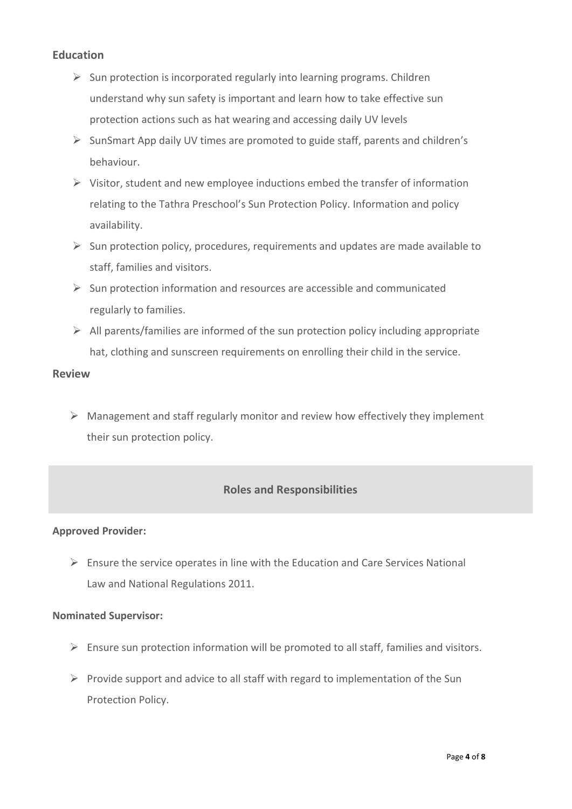## **Education**

- $\triangleright$  Sun protection is incorporated regularly into learning programs. Children understand why sun safety is important and learn how to take effective sun protection actions such as hat wearing and accessing daily UV levels
- ➢ SunSmart App daily UV times are promoted to guide staff, parents and children's behaviour.
- $\triangleright$  Visitor, student and new employee inductions embed the transfer of information relating to the Tathra Preschool's Sun Protection Policy. Information and policy availability.
- $\triangleright$  Sun protection policy, procedures, requirements and updates are made available to staff, families and visitors.
- $\triangleright$  Sun protection information and resources are accessible and communicated regularly to families.
- $\triangleright$  All parents/families are informed of the sun protection policy including appropriate hat, clothing and sunscreen requirements on enrolling their child in the service.

# **Review**

 $\triangleright$  Management and staff regularly monitor and review how effectively they implement their sun protection policy.

# **Roles and Responsibilities**

## **Approved Provider:**

 $\triangleright$  Ensure the service operates in line with the Education and Care Services National Law and National Regulations 2011.

## **Nominated Supervisor:**

- $\triangleright$  Ensure sun protection information will be promoted to all staff, families and visitors.
- $\triangleright$  Provide support and advice to all staff with regard to implementation of the Sun Protection Policy.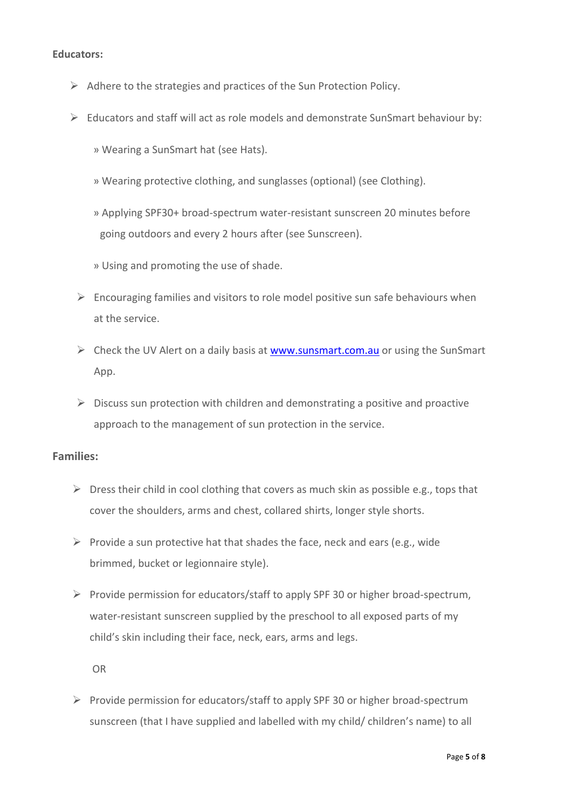#### **Educators:**

- ➢ Adhere to the strategies and practices of the Sun Protection Policy.
- $\triangleright$  Educators and staff will act as role models and demonstrate SunSmart behaviour by:
	- » Wearing a SunSmart hat (see Hats).
	- » Wearing protective clothing, and sunglasses (optional) (see Clothing).
	- » Applying SPF30+ broad-spectrum water-resistant sunscreen 20 minutes before going outdoors and every 2 hours after (see Sunscreen).
	- » Using and promoting the use of shade.
	- $\triangleright$  Encouraging families and visitors to role model positive sun safe behaviours when at the service.
	- $\triangleright$  Check the UV Alert on a daily basis at [www.sunsmart.com.au](http://www.sunsmart.com.au/) or using the SunSmart App.
	- $\triangleright$  Discuss sun protection with children and demonstrating a positive and proactive approach to the management of sun protection in the service.

## **Families:**

- $\triangleright$  Dress their child in cool clothing that covers as much skin as possible e.g., tops that cover the shoulders, arms and chest, collared shirts, longer style shorts.
- $\triangleright$  Provide a sun protective hat that shades the face, neck and ears (e.g., wide brimmed, bucket or legionnaire style).
- $\triangleright$  Provide permission for educators/staff to apply SPF 30 or higher broad-spectrum, water-resistant sunscreen supplied by the preschool to all exposed parts of my child's skin including their face, neck, ears, arms and legs.

OR

 $\triangleright$  Provide permission for educators/staff to apply SPF 30 or higher broad-spectrum sunscreen (that I have supplied and labelled with my child/ children's name) to all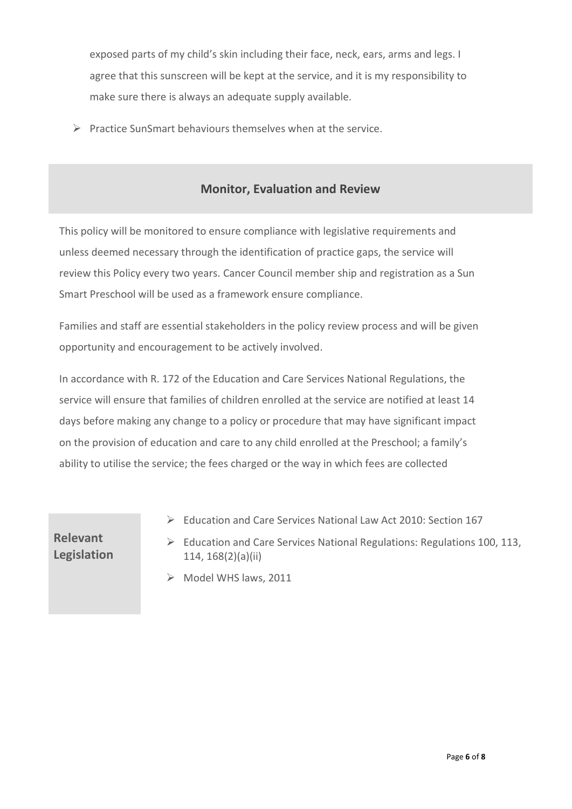exposed parts of my child's skin including their face, neck, ears, arms and legs. I agree that this sunscreen will be kept at the service, and it is my responsibility to make sure there is always an adequate supply available.

 $\triangleright$  Practice SunSmart behaviours themselves when at the service.

# **Monitor, Evaluation and Review**

This policy will be monitored to ensure compliance with legislative requirements and unless deemed necessary through the identification of practice gaps, the service will review this Policy every two years. Cancer Council member ship and registration as a Sun Smart Preschool will be used as a framework ensure compliance.

Families and staff are essential stakeholders in the policy review process and will be given opportunity and encouragement to be actively involved.

In accordance with R. 172 of the Education and Care Services National Regulations, the service will ensure that families of children enrolled at the service are notified at least 14 days before making any change to a policy or procedure that may have significant impact on the provision of education and care to any child enrolled at the Preschool; a family's ability to utilise the service; the fees charged or the way in which fees are collected

**Relevant Legislation**

- ➢ Education and Care Services National Law Act 2010: Section 167
- ➢ Education and Care Services National Regulations: Regulations 100, 113, 114, 168(2)(a)(ii)
- ➢ Model WHS laws, 2011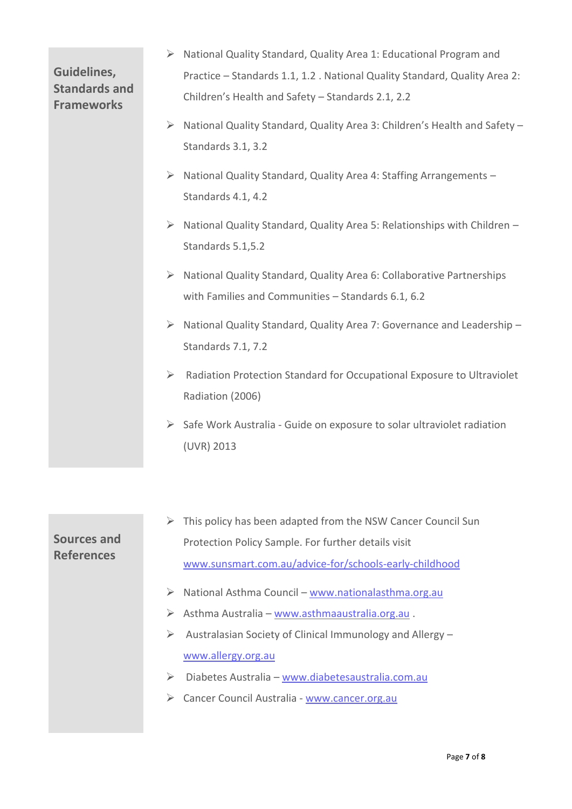# **Guidelines, Standards and Frameworks**

- ➢ National Quality Standard, Quality Area 1: Educational Program and Practice – Standards 1.1, 1.2 . National Quality Standard, Quality Area 2: Children's Health and Safety – Standards 2.1, 2.2
- ➢ National Quality Standard, Quality Area 3: Children's Health and Safety Standards 3.1, 3.2
- ➢ National Quality Standard, Quality Area 4: Staffing Arrangements Standards 4.1, 4.2
- ➢ National Quality Standard, Quality Area 5: Relationships with Children Standards 5.1,5.2
- ➢ National Quality Standard, Quality Area 6: Collaborative Partnerships with Families and Communities – Standards 6.1, 6.2
- ➢ National Quality Standard, Quality Area 7: Governance and Leadership Standards 7.1, 7.2
- ➢ Radiation Protection Standard for Occupational Exposure to Ultraviolet Radiation (2006)
- ➢ Safe Work Australia Guide on exposure to solar ultraviolet radiation (UVR) 2013

# **Sources and References**  $\triangleright$  This policy has been adapted from the NSW Cancer Council Sun Protection Policy Sample. For further details visit [www.sunsmart.com.au/advice-for/schools-early-childhood](http://www.sunsmart.com.au/advice-for/schools-early-childhood) ➢ National Asthma Council – [www.nationalasthma.org.au](http://www.nationalasthma.org.au/) ➢ Asthma Australia – [www.asthmaaustralia.org.au](http://www.asthmaaustralia.org.au/) . ➢ Australasian Society of Clinical Immunology and Allergy – [www.allergy.org.au](http://www.allergy.org.au/) ➢ Diabetes Australia – [www.diabetesaustralia.com.au](http://www.diabetesaustralia.com.au/) ➢ Cancer Council Australia - [www.cancer.org.au](http://www.cancer.org.au/)